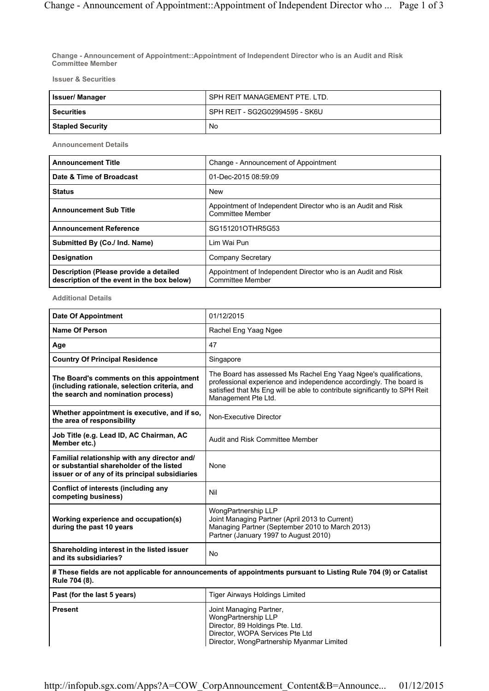**Change - Announcement of Appointment::Appointment of Independent Director who is an Audit and Risk Committee Member**

**Issuer & Securities**

| <b>Issuer/Manager</b>   | I SPH REIT MANAGEMENT PTE. LTD.  |
|-------------------------|----------------------------------|
| <b>Securities</b>       | l SPH REIT - SG2G02994595 - SK6U |
| <b>Stapled Security</b> | No                               |

**Announcement Details**

| <b>Announcement Title</b>                                                            | Change - Announcement of Appointment                                                    |
|--------------------------------------------------------------------------------------|-----------------------------------------------------------------------------------------|
| Date & Time of Broadcast                                                             | 01-Dec-2015 08:59:09                                                                    |
| <b>Status</b>                                                                        | <b>New</b>                                                                              |
| <b>Announcement Sub Title</b>                                                        | Appointment of Independent Director who is an Audit and Risk<br><b>Committee Member</b> |
| <b>Announcement Reference</b>                                                        | SG151201OTHR5G53                                                                        |
| Submitted By (Co./ Ind. Name)                                                        | Lim Wai Pun                                                                             |
| <b>Designation</b>                                                                   | Company Secretary                                                                       |
| Description (Please provide a detailed<br>description of the event in the box below) | Appointment of Independent Director who is an Audit and Risk<br><b>Committee Member</b> |

**Additional Details**

| <b>Date Of Appointment</b>                                                                                                                 | 01/12/2015                                                                                                                                                                                                                                  |  |
|--------------------------------------------------------------------------------------------------------------------------------------------|---------------------------------------------------------------------------------------------------------------------------------------------------------------------------------------------------------------------------------------------|--|
| <b>Name Of Person</b>                                                                                                                      | Rachel Eng Yaag Ngee                                                                                                                                                                                                                        |  |
| Age                                                                                                                                        | 47                                                                                                                                                                                                                                          |  |
| <b>Country Of Principal Residence</b>                                                                                                      | Singapore                                                                                                                                                                                                                                   |  |
| The Board's comments on this appointment<br>(including rationale, selection criteria, and<br>the search and nomination process)            | The Board has assessed Ms Rachel Eng Yaag Ngee's qualifications.<br>professional experience and independence accordingly. The board is<br>satisfied that Ms Eng will be able to contribute significantly to SPH Reit<br>Management Pte Ltd. |  |
| Whether appointment is executive, and if so,<br>the area of responsibility                                                                 | Non-Executive Director                                                                                                                                                                                                                      |  |
| Job Title (e.g. Lead ID, AC Chairman, AC<br>Member etc.)                                                                                   | Audit and Risk Committee Member                                                                                                                                                                                                             |  |
| Familial relationship with any director and/<br>or substantial shareholder of the listed<br>issuer or of any of its principal subsidiaries | None                                                                                                                                                                                                                                        |  |
| Conflict of interests (including any<br>competing business)                                                                                | Nil                                                                                                                                                                                                                                         |  |
| Working experience and occupation(s)<br>during the past 10 years                                                                           | WongPartnership LLP<br>Joint Managing Partner (April 2013 to Current)<br>Managing Partner (September 2010 to March 2013)<br>Partner (January 1997 to August 2010)                                                                           |  |
| Shareholding interest in the listed issuer<br>and its subsidiaries?                                                                        | <b>No</b>                                                                                                                                                                                                                                   |  |
| # These fields are not applicable for announcements of appointments pursuant to Listing Rule 704 (9) or Catalist<br>Rule 704 (8).          |                                                                                                                                                                                                                                             |  |
| Past (for the last 5 years)                                                                                                                | <b>Tiger Airways Holdings Limited</b>                                                                                                                                                                                                       |  |
| <b>Present</b>                                                                                                                             | Joint Managing Partner,<br>WongPartnership LLP<br>Director, 89 Holdings Pte. Ltd.<br>Director, WOPA Services Pte Ltd<br>Director, WongPartnership Myanmar Limited                                                                           |  |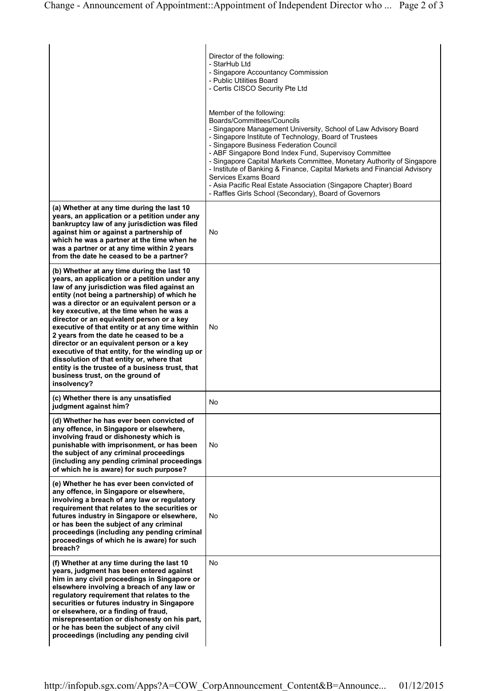|                                                                                                                                                                                                                                                                                                                                                                                                                                                                                                                                                                                                                                                                                     | Director of the following:<br>- StarHub Ltd<br>- Singapore Accountancy Commission<br>- Public Utilities Board<br>- Certis CISCO Security Pte Ltd<br>Member of the following:<br>Boards/Committees/Councils<br>- Singapore Management University, School of Law Advisory Board<br>- Singapore Institute of Technology, Board of Trustees<br>- Singapore Business Federation Council<br>- ABF Singapore Bond Index Fund, Supervisoy Committee<br>- Singapore Capital Markets Committee, Monetary Authority of Singapore<br>- Institute of Banking & Finance, Capital Markets and Financial Advisory<br>Services Exams Board<br>- Asia Pacific Real Estate Association (Singapore Chapter) Board |
|-------------------------------------------------------------------------------------------------------------------------------------------------------------------------------------------------------------------------------------------------------------------------------------------------------------------------------------------------------------------------------------------------------------------------------------------------------------------------------------------------------------------------------------------------------------------------------------------------------------------------------------------------------------------------------------|-----------------------------------------------------------------------------------------------------------------------------------------------------------------------------------------------------------------------------------------------------------------------------------------------------------------------------------------------------------------------------------------------------------------------------------------------------------------------------------------------------------------------------------------------------------------------------------------------------------------------------------------------------------------------------------------------|
| (a) Whether at any time during the last 10<br>years, an application or a petition under any<br>bankruptcy law of any jurisdiction was filed<br>against him or against a partnership of<br>which he was a partner at the time when he<br>was a partner or at any time within 2 years<br>from the date he ceased to be a partner?                                                                                                                                                                                                                                                                                                                                                     | - Raffles Girls School (Secondary), Board of Governors<br>No                                                                                                                                                                                                                                                                                                                                                                                                                                                                                                                                                                                                                                  |
| (b) Whether at any time during the last 10<br>years, an application or a petition under any<br>law of any jurisdiction was filed against an<br>entity (not being a partnership) of which he<br>was a director or an equivalent person or a<br>key executive, at the time when he was a<br>director or an equivalent person or a key<br>executive of that entity or at any time within<br>2 years from the date he ceased to be a<br>director or an equivalent person or a key<br>executive of that entity, for the winding up or<br>dissolution of that entity or, where that<br>entity is the trustee of a business trust, that<br>business trust, on the ground of<br>insolvency? | No.                                                                                                                                                                                                                                                                                                                                                                                                                                                                                                                                                                                                                                                                                           |
| (c) Whether there is any unsatisfied<br>judgment against him?                                                                                                                                                                                                                                                                                                                                                                                                                                                                                                                                                                                                                       | No                                                                                                                                                                                                                                                                                                                                                                                                                                                                                                                                                                                                                                                                                            |
| (d) Whether he has ever been convicted of<br>any offence, in Singapore or elsewhere,<br>involving fraud or dishonesty which is<br>punishable with imprisonment, or has been<br>the subject of any criminal proceedings<br>(including any pending criminal proceedings<br>of which he is aware) for such purpose?                                                                                                                                                                                                                                                                                                                                                                    | No                                                                                                                                                                                                                                                                                                                                                                                                                                                                                                                                                                                                                                                                                            |
| (e) Whether he has ever been convicted of<br>any offence, in Singapore or elsewhere,<br>involving a breach of any law or regulatory<br>requirement that relates to the securities or<br>futures industry in Singapore or elsewhere,<br>or has been the subject of any criminal<br>proceedings (including any pending criminal<br>proceedings of which he is aware) for such<br>breach?                                                                                                                                                                                                                                                                                              | No                                                                                                                                                                                                                                                                                                                                                                                                                                                                                                                                                                                                                                                                                            |
| (f) Whether at any time during the last 10<br>years, judgment has been entered against<br>him in any civil proceedings in Singapore or<br>elsewhere involving a breach of any law or<br>regulatory requirement that relates to the<br>securities or futures industry in Singapore<br>or elsewhere, or a finding of fraud,<br>misrepresentation or dishonesty on his part,<br>or he has been the subject of any civil<br>proceedings (including any pending civil                                                                                                                                                                                                                    | No                                                                                                                                                                                                                                                                                                                                                                                                                                                                                                                                                                                                                                                                                            |